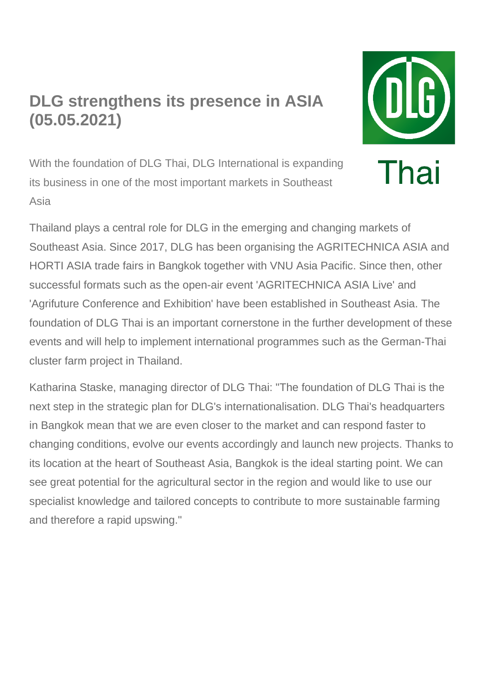## **DLG strengthens its presence in ASIA (05.05.2021)**



With the foundation of DLG Thai, DLG International is expanding its business in one of the most important markets in Southeast Asia

Thailand plays a central role for DLG in the emerging and changing markets of Southeast Asia. Since 2017, DLG has been organising the AGRITECHNICA ASIA and HORTI ASIA trade fairs in Bangkok together with VNU Asia Pacific. Since then, other successful formats such as the open-air event 'AGRITECHNICA ASIA Live' and 'Agrifuture Conference and Exhibition' have been established in Southeast Asia. The foundation of DLG Thai is an important cornerstone in the further development of these events and will help to implement international programmes such as the German-Thai cluster farm project in Thailand.

Katharina Staske, managing director of DLG Thai: "The foundation of DLG Thai is the next step in the strategic plan for DLG's internationalisation. DLG Thai's headquarters in Bangkok mean that we are even closer to the market and can respond faster to changing conditions, evolve our events accordingly and launch new projects. Thanks to its location at the heart of Southeast Asia, Bangkok is the ideal starting point. We can see great potential for the agricultural sector in the region and would like to use our specialist knowledge and tailored concepts to contribute to more sustainable farming and therefore a rapid upswing."